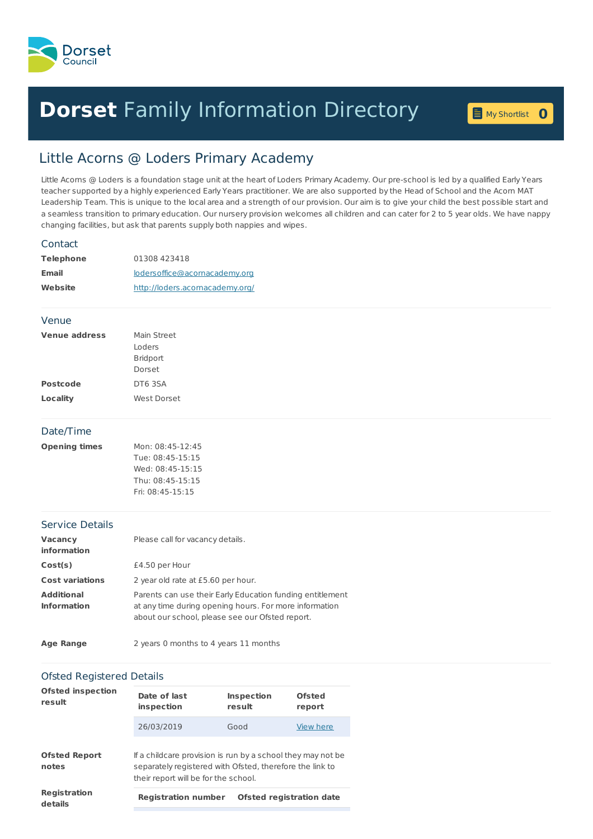

# **Dorset** Family [Information](home.page) Directory **0**

My [Shortlist](shortlist.page)

## Little Acorns @ Loders Primary Academy

Little Acorns @ Loders is a foundation stage unit at the heart of Loders Primary Academy. Our pre-school is led by a qualified Early Years teacher supported by a highly experienced Early Years practitioner. We are also supported by the Head of School and the Acorn MAT Leadership Team. This is unique to the local area and a strength of our provision. Our aim is to give your child the best possible start and a seamless transition to primary education. Our nursery provision welcomes all children and can cater for 2 to 5 year olds. We have nappy changing facilities, but ask that parents supply both nappies and wipes.

### Contact

| <b>Telephone</b> | 01308 423418                    |
|------------------|---------------------------------|
| <b>Email</b>     | lodersoffice@acornacademy.org   |
| Website          | http://loders.acornacademy.org/ |

### Venue

| <b>Venue address</b> | Main Street     |
|----------------------|-----------------|
|                      | Loders          |
|                      | <b>Bridport</b> |
|                      | Dorset          |
| <b>Postcode</b>      | DT63SA          |
| Locality             | West Dorset     |

### Date/Time

| <b>Opening times</b> | Mon: 08:45-12:45 |
|----------------------|------------------|
|                      | Tue: 08:45-15:15 |
|                      | Wed: 08:45-15:15 |
|                      | Thu: 08:45-15:15 |
|                      | Fri: 08:45-15:15 |
|                      |                  |

### Service Details

| <b>Vacancy</b><br>information           | Please call for vacancy details.                                                                                                                                       |
|-----------------------------------------|------------------------------------------------------------------------------------------------------------------------------------------------------------------------|
| Cost(s)                                 | £4.50 per Hour                                                                                                                                                         |
| <b>Cost variations</b>                  | 2 year old rate at £5.60 per hour.                                                                                                                                     |
| <b>Additional</b><br><b>Information</b> | Parents can use their Early Education funding entitlement<br>at any time during opening hours. For more information<br>about our school, please see our Ofsted report. |

**Age Range** 2 years 0 months to 4 years 11 months

### Ofsted Registered Details

| <b>Ofsted inspection</b><br>result | Date of last<br>inspection                                                                                                                                      | <b>Inspection</b><br>result     | Ofsted<br>report |
|------------------------------------|-----------------------------------------------------------------------------------------------------------------------------------------------------------------|---------------------------------|------------------|
|                                    | 26/03/2019                                                                                                                                                      | Good                            | View here        |
| <b>Ofsted Report</b><br>notes      | If a childcare provision is run by a school they may not be<br>separately registered with Ofsted, therefore the link to<br>their report will be for the school. |                                 |                  |
| Registration<br>details            | <b>Registration number</b>                                                                                                                                      | <b>Ofsted registration date</b> |                  |
|                                    |                                                                                                                                                                 |                                 |                  |